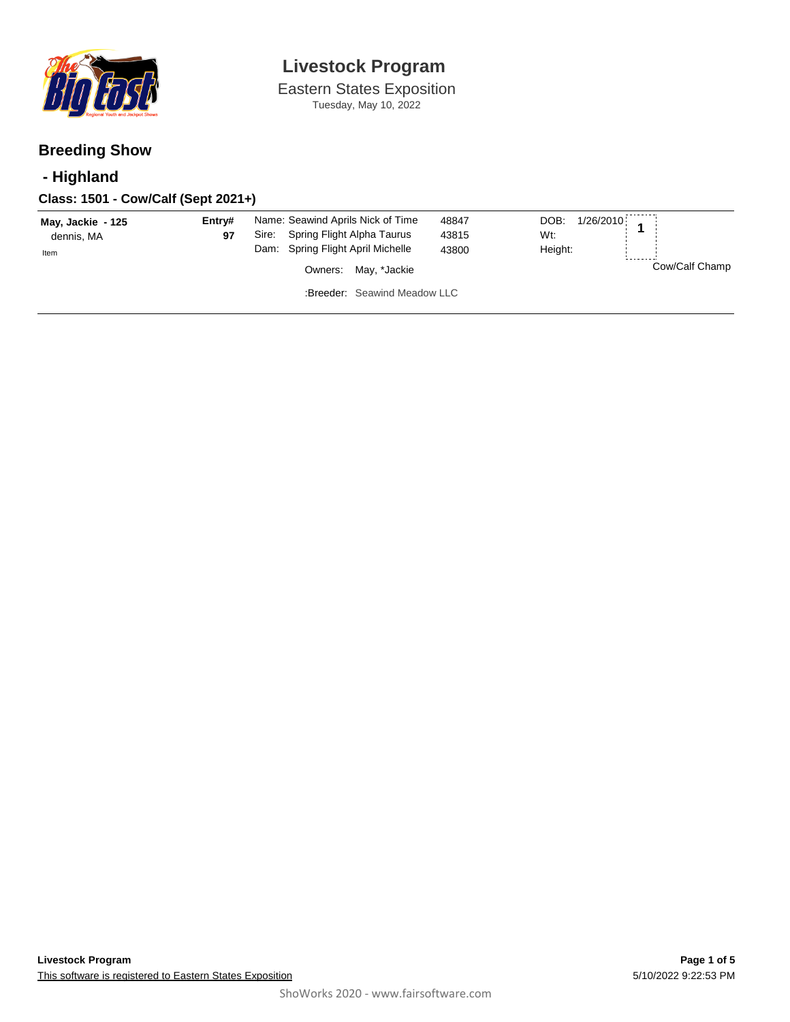

Eastern States Exposition Tuesday, May 10, 2022

### **Breeding Show**

### **- Highland**

### **Class: 1501 - Cow/Calf (Sept 2021+)**

| May, Jackie - 125<br>dennis, MA<br>Item | Entry#<br>97 | Name: Seawind Aprils Nick of Time<br>48847<br>Spring Flight Alpha Taurus<br>Sire:<br>43815<br>Dam: Spring Flight April Michelle<br>43800 | DOB: 1/26/2010<br>Wt:<br>Height: |
|-----------------------------------------|--------------|------------------------------------------------------------------------------------------------------------------------------------------|----------------------------------|
|                                         |              | Owners: May, *Jackie                                                                                                                     | Cow/Calf Champ                   |
|                                         |              | :Breeder: Seawind Meadow LLC                                                                                                             |                                  |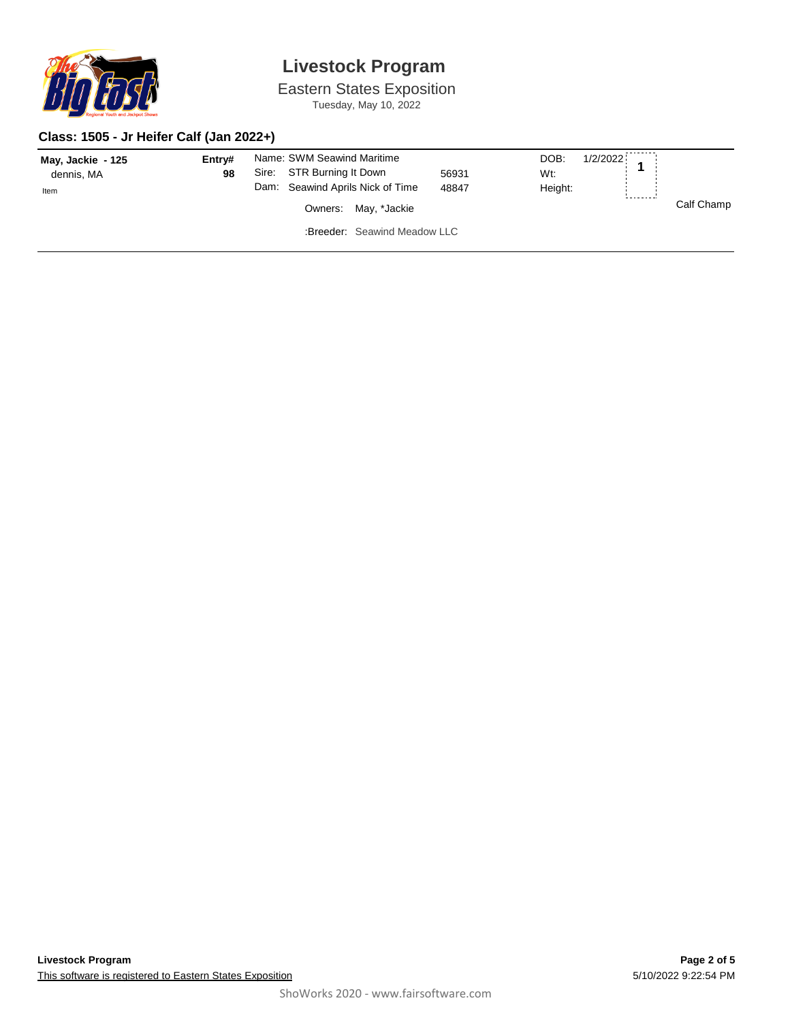

Eastern States Exposition Tuesday, May 10, 2022

#### **Class: 1505 - Jr Heifer Calf (Jan 2022+)**

| May, Jackie - 125<br>dennis, MA | Entry#<br>98 | Name: SWM Seawind Maritime<br>STR Burning It Down<br>Sire:<br>56931 | 1/2/2022<br>DOB:<br>Wt:           |
|---------------------------------|--------------|---------------------------------------------------------------------|-----------------------------------|
| Item                            |              | Dam: Seawind Aprils Nick of Time<br>48847<br>Owners: May, *Jackie   | Height:<br>--------<br>Calf Champ |
|                                 |              | :Breeder: Seawind Meadow LLC                                        |                                   |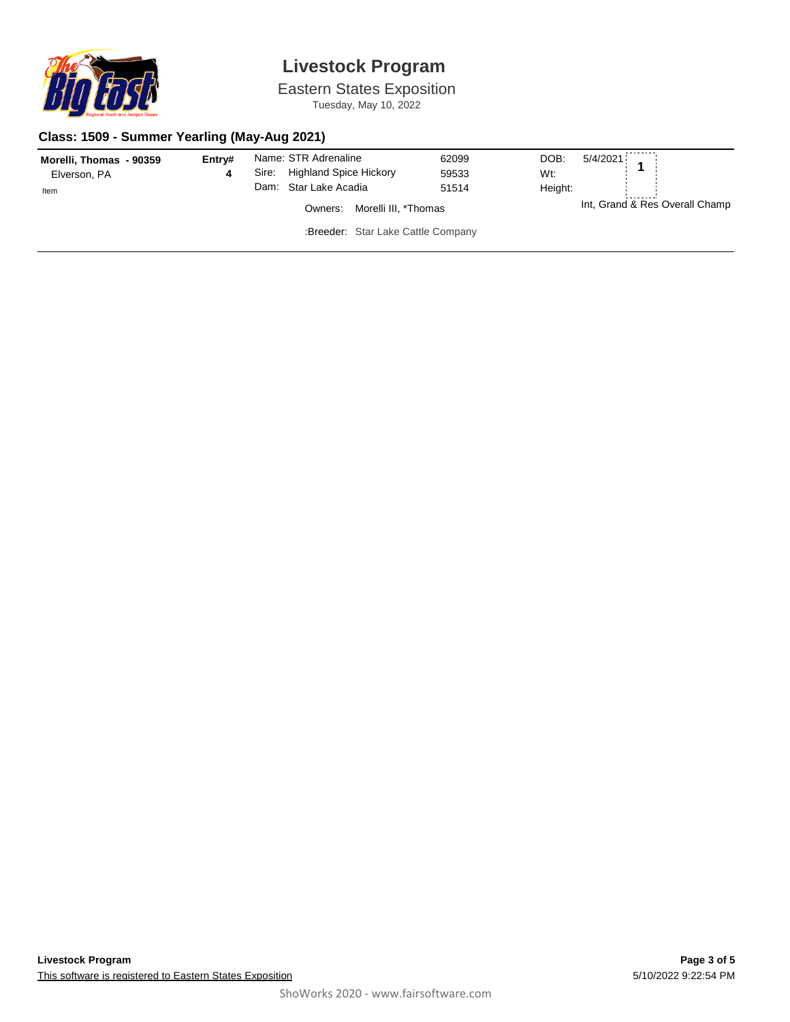

Eastern States Exposition Tuesday, May 10, 2022

#### **Class: 1509 - Summer Yearling (May-Aug 2021)**

| Morelli, Thomas - 90359<br>Elverson, PA | Entry# | Sire: | Name: STR Adrenaline<br><b>Highland Spice Hickory</b><br>Dam: Star Lake Acadia | 62099<br>59533<br>51514 | DOB:<br>Wt:<br>Height: | 5/4/2021                       |
|-----------------------------------------|--------|-------|--------------------------------------------------------------------------------|-------------------------|------------------------|--------------------------------|
| Item                                    |        |       | Morelli III, *Thomas<br>Owners:                                                |                         |                        | Int, Grand & Res Overall Champ |
|                                         |        |       | :Breeder: Star Lake Cattle Company                                             |                         |                        |                                |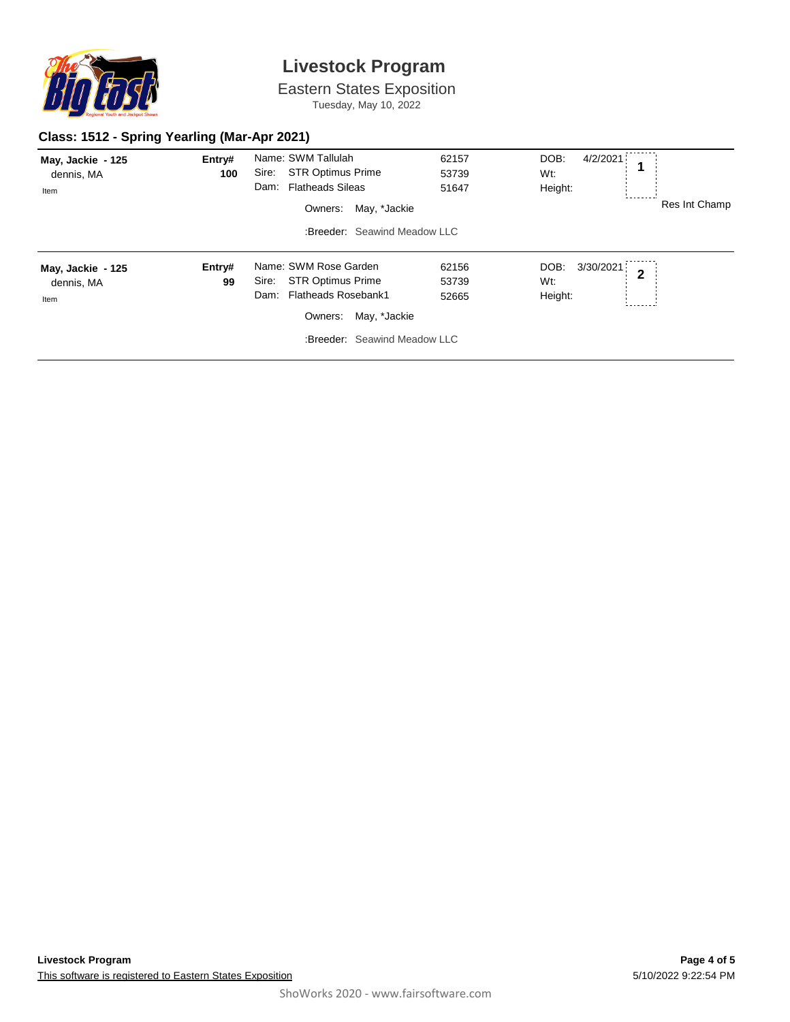

Eastern States Exposition Tuesday, May 10, 2022

#### **Class: 1512 - Spring Yearling (Mar-Apr 2021)**

| May, Jackie - 125<br>dennis, MA<br>Item | Entry#<br>100 | Name: SWM Tallulah<br>Sire:<br><b>STR Optimus Prime</b><br><b>Flatheads Sileas</b><br>Dam:<br>May, *Jackie<br>Owners:                                       | 62157<br>53739<br>51647 | DOB:<br>4/2/2021<br>Wt:<br>Height:  | 1<br>Res Int Champ |
|-----------------------------------------|---------------|-------------------------------------------------------------------------------------------------------------------------------------------------------------|-------------------------|-------------------------------------|--------------------|
|                                         |               | :Breeder: Seawind Meadow LLC                                                                                                                                |                         |                                     |                    |
| May, Jackie - 125<br>dennis, MA<br>Item | Entry#<br>99  | Name: SWM Rose Garden<br><b>STR Optimus Prime</b><br>Sire:<br><b>Flatheads Rosebank1</b><br>Dam:<br>May, *Jackie<br>Owners:<br>:Breeder: Seawind Meadow LLC | 62156<br>53739<br>52665 | 3/30/2021<br>DOB:<br>Wt:<br>Height: | $\overline{2}$     |